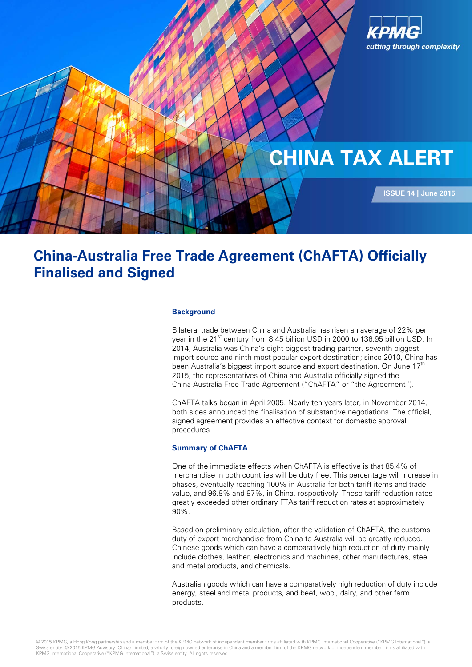

# **Finalised and Signed China-Australia Free Trade Agreement (ChAFTA) Officially**

## **Background**

Bilateral trade between China and Australia has risen an average of 22% per year in the 21<sup>st</sup> century from 8.45 billion USD in 2000 to 136.95 billion USD. In 2014, Australia was China's eight biggest trading partner, seventh biggest import source and ninth most popular export destination; since 2010, China has been Australia's biggest import source and export destination. On June 17<sup>th</sup> 2015, the representatives of China and Australia officially signed the China-Australia Free Trade Agreement ("ChAFTA" or "the Agreement").

ChAFTA talks began in April 2005. Nearly ten years later, in November 2014, both sides announced the finalisation of substantive negotiations. The official, signed agreement provides an effective context for domestic approval procedures

## **Summary of ChAFTA**

One of the immediate effects when ChAFTA is effective is that 85.4% of merchandise in both countries will be duty free. This percentage will increase in phases, eventually reaching 100% in Australia for both tariff items and trade value, and 96.8% and 97%, in China, respectively. These tariff reduction rates greatly exceeded other ordinary FTAs tariff reduction rates at approximately 90%.

Based on preliminary calculation, after the validation of ChAFTA, the customs duty of export merchandise from China to Australia will be greatly reduced. Chinese goods which can have a comparatively high reduction of duty mainly include clothes, leather, electronics and machines, other manufactures, steel and metal products, and chemicals.

Australian goods which can have a comparatively high reduction of duty include energy, steel and metal products, and beef, wool, dairy, and other farm products.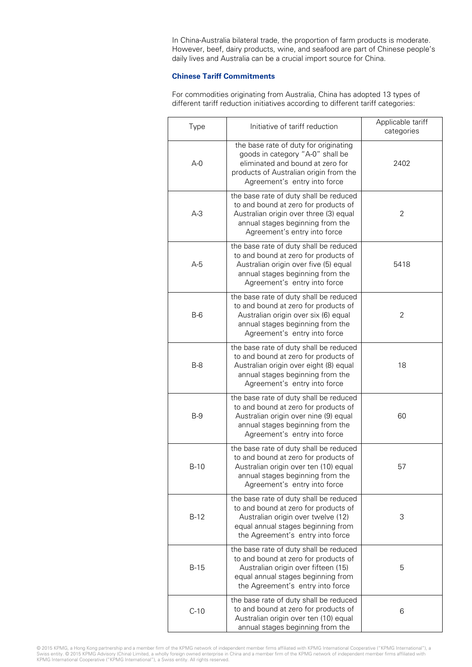In China-Australia bilateral trade, the proportion of farm products is moderate. However, beef, dairy products, wine, and seafood are part of Chinese people's daily lives and Australia can be a crucial import source for China.

# **Chinese Tariff Commitments**

For commodities originating from Australia, China has adopted 13 types of different tariff reduction initiatives according to different tariff categories:

| Type    | Initiative of tariff reduction                                                                                                                                                                  | Applicable tariff<br>categories |  |  |  |
|---------|-------------------------------------------------------------------------------------------------------------------------------------------------------------------------------------------------|---------------------------------|--|--|--|
| $A - 0$ | the base rate of duty for originating<br>goods in category "A-0" shall be<br>eliminated and bound at zero for<br>products of Australian origin from the<br>Agreement's entry into force         | 2402                            |  |  |  |
| $A-3$   | the base rate of duty shall be reduced<br>to and bound at zero for products of<br>Australian origin over three (3) equal<br>annual stages beginning from the<br>Agreement's entry into force    | 2                               |  |  |  |
| A-5     | the base rate of duty shall be reduced<br>to and bound at zero for products of<br>Australian origin over five (5) equal<br>annual stages beginning from the<br>Agreement's entry into force     | 5418                            |  |  |  |
| $B-6$   | the base rate of duty shall be reduced<br>to and bound at zero for products of<br>Australian origin over six (6) equal<br>annual stages beginning from the<br>Agreement's entry into force      | 2                               |  |  |  |
| $B-8$   | the base rate of duty shall be reduced<br>to and bound at zero for products of<br>Australian origin over eight (8) equal<br>annual stages beginning from the<br>Agreement's entry into force    | 18                              |  |  |  |
| $B-9$   | the base rate of duty shall be reduced<br>to and bound at zero for products of<br>Australian origin over nine (9) equal<br>annual stages beginning from the<br>Agreement's entry into force     | 60                              |  |  |  |
| $B-10$  | the base rate of duty shall be reduced<br>to and bound at zero for products of<br>Australian origin over ten (10) equal<br>annual stages beginning from the<br>Agreement's entry into force     | 57                              |  |  |  |
| $B-12$  | the base rate of duty shall be reduced<br>to and bound at zero for products of<br>Australian origin over twelve (12)<br>equal annual stages beginning from<br>the Agreement's entry into force  | 3                               |  |  |  |
| $B-15$  | the base rate of duty shall be reduced<br>to and bound at zero for products of<br>Australian origin over fifteen (15)<br>equal annual stages beginning from<br>the Agreement's entry into force | 5                               |  |  |  |
| $C-10$  | the base rate of duty shall be reduced<br>to and bound at zero for products of<br>Australian origin over ten (10) equal<br>annual stages beginning from the                                     | 6                               |  |  |  |

© 2015 KPMG, a Hong Kong partnership and a member firm of the KPMG network of independent member firms affiliated with KPMG International Cooperative ("KPMG International"), a<br>Swiss entity. © 2015 KPMG Advisory (China) Lim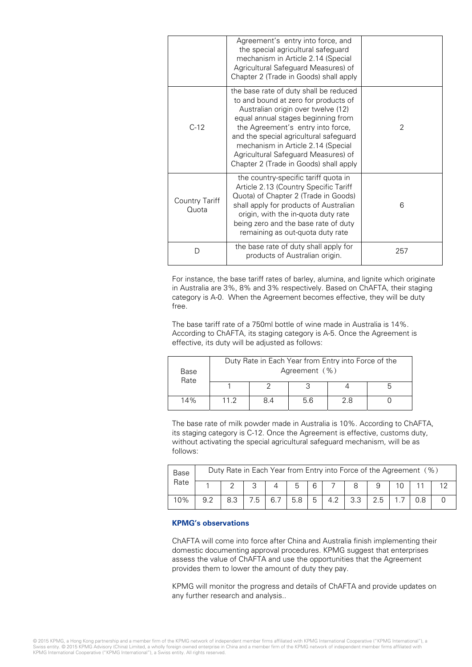|                         | Agreement's entry into force, and<br>the special agricultural safeguard<br>mechanism in Article 2.14 (Special<br>Agricultural Safeguard Measures) of<br>Chapter 2 (Trade in Goods) shall apply                                                                                                                                                                   |     |
|-------------------------|------------------------------------------------------------------------------------------------------------------------------------------------------------------------------------------------------------------------------------------------------------------------------------------------------------------------------------------------------------------|-----|
| $C-12$                  | the base rate of duty shall be reduced<br>to and bound at zero for products of<br>Australian origin over twelve (12)<br>equal annual stages beginning from<br>the Agreement's entry into force,<br>and the special agricultural safeguard<br>mechanism in Article 2.14 (Special<br>Agricultural Safeguard Measures) of<br>Chapter 2 (Trade in Goods) shall apply | 2   |
| Country Tariff<br>Quota | the country-specific tariff quota in<br>Article 2.13 (Country Specific Tariff<br>Quota) of Chapter 2 (Trade in Goods)<br>shall apply for products of Australian<br>origin, with the in-quota duty rate<br>being zero and the base rate of duty<br>remaining as out-quota duty rate                                                                               | 6   |
| D                       | the base rate of duty shall apply for<br>products of Australian origin.                                                                                                                                                                                                                                                                                          | 257 |

For instance, the base tariff rates of barley, alumina, and lignite which originate in Australia are 3%, 8% and 3% respectively. Based on ChAFTA, their staging category is A-0. When the Agreement becomes effective, they will be duty free.

The base tariff rate of a 750ml bottle of wine made in Australia is 14%. According to ChAFTA, its staging category is A-5. Once the Agreement is effective, its duty will be adjusted as follows:

| Base<br>Rate | Duty Rate in Each Year from Entry into Force of the<br>Agreement (%) |     |     |     |  |  |  |  |
|--------------|----------------------------------------------------------------------|-----|-----|-----|--|--|--|--|
|              |                                                                      |     |     |     |  |  |  |  |
| 14%          | 11.2                                                                 | 8.4 | 5.6 | 2.8 |  |  |  |  |

The base rate of milk powder made in Australia is 10%. According to ChAFTA, its staging category is C-12. Once the Agreement is effective, customs duty, without activating the special agricultural safeguard mechanism, will be as follows:

| Base |     | Duty Rate in Each Year from Entry into Force of the Agreement (%) |    |     |     |   |     |    |  |  |  |  |
|------|-----|-------------------------------------------------------------------|----|-----|-----|---|-----|----|--|--|--|--|
| Rate |     |                                                                   |    |     |     | 6 |     |    |  |  |  |  |
| 10%  | 9.2 |                                                                   | .5 | 6.7 | 5.8 | 5 | 4.2 | っっ |  |  |  |  |

# **KPMG's observations**

ChAFTA will come into force after China and Australia finish implementing their domestic documenting approval procedures. KPMG suggest that enterprises assess the value of ChAFTA and use the opportunities that the Agreement provides them to lower the amount of duty they pay.

KPMG will monitor the progress and details of ChAFTA and provide updates on any further research and analysis..